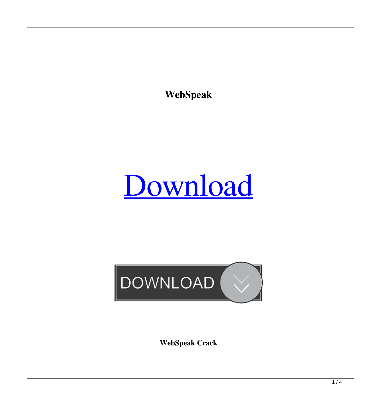**WebSpeak**

# [Download](http://evacdir.com/bricks/evanovich&V2ViU3BlYWsV2V&illgauskas/ZG93bmxvYWR8SUgxTm00MU1ueDhNVFkxTkRRek5qWTFPSHg4TWpVNU1IeDhLRTBwSUZkdmNtUndjbVZ6Y3lCYldFMU1VbEJESUZZeUlGQkVSbDA/dispatch)



**WebSpeak Crack**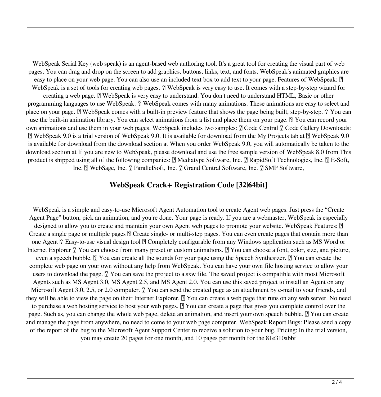WebSpeak Serial Key (web speak) is an agent-based web authoring tool. It's a great tool for creating the visual part of web pages. You can drag and drop on the screen to add graphics, buttons, links, text, and fonts. WebSpeak's animated graphics are easy to place on your web page. You can also use an included text box to add text to your page. Features of WebSpeak:  $[$ WebSpeak is a set of tools for creating web pages.  $\mathbb{Z}$  WebSpeak is very easy to use. It comes with a step-by-step wizard for creating a web page. **A** WebSpeak is very easy to understand. You don't need to understand HTML, Basic or other programming languages to use WebSpeak.  $\mathbb{Z}$  WebSpeak comes with many animations. These animations are easy to select and place on your page.  $\mathbb{Z}$  WebSpeak comes with a built-in preview feature that shows the page being built, step-by-step.  $\mathbb{Z}$  You can use the built-in animation library. You can select animations from a list and place them on your page.  $\mathbb{Z}$  You can record your own animations and use them in your web pages. WebSpeak includes two samples:  $\mathbb{Z}$  Code Central  $\mathbb{Z}$  Code Gallery Downloads:  $\mathbb D$  WebSpeak 9.0 is a trial version of WebSpeak 9.0. It is available for download from the My Projects tab at  $\mathbb D$  WebSpeak 9.0 is available for download from the download section at When you order WebSpeak 9.0, you will automatically be taken to the download section at If you are new to WebSpeak, please download and use the free sample version of WebSpeak 8.0 from This product is shipped using all of the following companies:  $\mathbb{R}$  Mediatype Software, Inc.  $\mathbb{R}$  RapidSoft Technologies, Inc.  $\mathbb{R}$  E-Soft, Inc. **Note Sage, Inc.**  ParallelSoft, Inc. **Note Central Software**, Inc. **Note Software**,

#### **WebSpeak Crack+ Registration Code [32|64bit]**

WebSpeak is a simple and easy-to-use Microsoft Agent Automation tool to create Agent web pages. Just press the "Create Agent Page" button, pick an animation, and you're done. Your page is ready. If you are a webmaster, WebSpeak is especially designed to allow you to create and maintain your own Agent web pages to promote your website. WebSpeak Features:  $\mathbb{Z}$ Create a single page or multiple pages <sup>n</sup> Create single- or multi-step pages. You can even create pages that contain more than one Agent  $\mathbb{Z}$  Easy-to-use visual design tool  $\mathbb{Z}$  Completely configurable from any Windows application such as MS Word or Internet Explorer  $\mathbb{Z}$  You can choose from many preset or custom animations.  $\mathbb{Z}$  You can choose a font, color, size, and picture, even a speech bubble.  $\mathbb{Z}$  You can create all the sounds for your page using the Speech Synthesizer.  $\mathbb{Z}$  You can create the complete web page on your own without any help from WebSpeak. You can have your own file hosting service to allow your users to download the page. <sup>2</sup> You can save the project to a.sxw file. The saved project is compatible with most Microsoft Agents such as MS Agent 3.0, MS Agent 2.5, and MS Agent 2.0. You can use this saved project to install an Agent on any Microsoft Agent 3.0, 2.5, or 2.0 computer.  $\mathbb{Z}$  You can send the created page as an attachment by e-mail to your friends, and they will be able to view the page on their Internet Explorer. **■** You can create a web page that runs on any web server. No need to purchase a web hosting service to host your web pages.  $\mathbb{Z}$  You can create a page that gives you complete control over the page. Such as, you can change the whole web page, delete an animation, and insert your own speech bubble.  $\mathbb{R}$  You can create and manage the page from anywhere, no need to come to your web page computer. WebSpeak Report Bugs: Please send a copy of the report of the bug to the Microsoft Agent Support Center to receive a solution to your bug. Pricing: In the trial version, you may create 20 pages for one month, and 10 pages per month for the 81e310abbf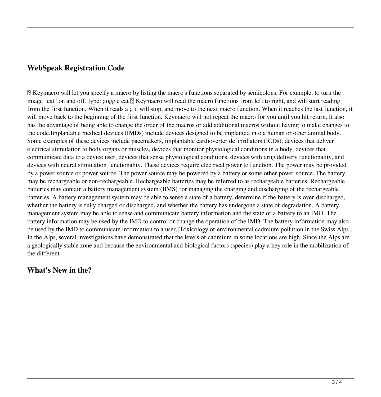## **WebSpeak Registration Code**

■ Keymacro will let you specify a macro by listing the macro's functions separated by semicolons. For example, to turn the image "cat" on and off, type: ;toggle cat  $\mathbb Z$  Keymacro will read the macro functions from left to right, and will start reading from the first function. When it reads a ;, it will stop, and move to the next macro function. When it reaches the last function, it will move back to the beginning of the first function. Keymacro will not repeat the macro for you until you hit return. It also has the advantage of being able to change the order of the macros or add additional macros without having to make changes to the code.Implantable medical devices (IMDs) include devices designed to be implanted into a human or other animal body. Some examples of these devices include pacemakers, implantable cardioverter defibrillators (ICDs), devices that deliver electrical stimulation to body organs or muscles, devices that monitor physiological conditions in a body, devices that communicate data to a device user, devices that sense physiological conditions, devices with drug delivery functionality, and devices with neural stimulation functionality. These devices require electrical power to function. The power may be provided by a power source or power source. The power source may be powered by a battery or some other power source. The battery may be rechargeable or non-rechargeable. Rechargeable batteries may be referred to as rechargeable batteries. Rechargeable batteries may contain a battery management system (BMS) for managing the charging and discharging of the rechargeable batteries. A battery management system may be able to sense a state of a battery, determine if the battery is over-discharged, whether the battery is fully charged or discharged, and whether the battery has undergone a state of degradation. A battery management system may be able to sense and communicate battery information and the state of a battery to an IMD. The battery information may be used by the IMD to control or change the operation of the IMD. The battery information may also be used by the IMD to communicate information to a user.[Toxicology of environmental cadmium pollution in the Swiss Alps]. In the Alps, several investigations have demonstrated that the levels of cadmium in some locations are high. Since the Alps are a geologically stable zone and because the environmental and biological factors (species) play a key role in the mobilization of the different

### **What's New in the?**